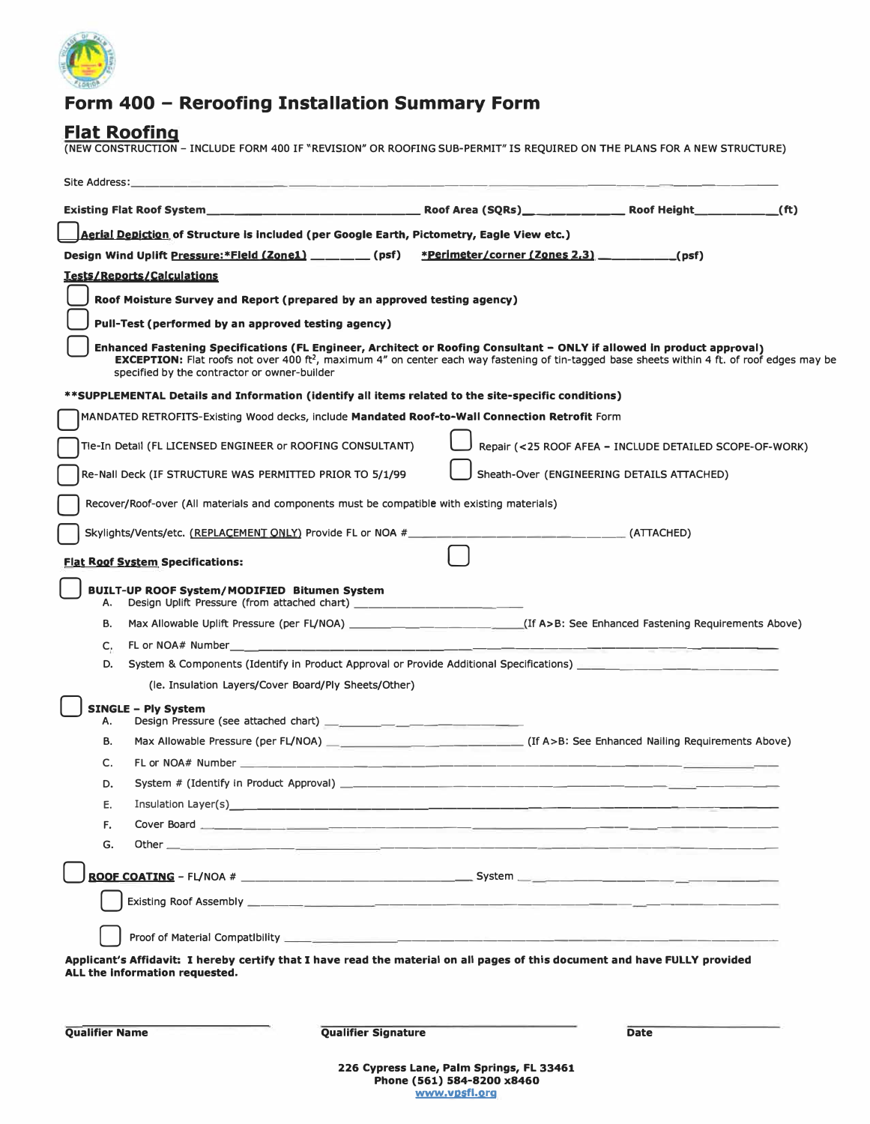

## **Form 400 - Reroofing Installation Summary Form**

## **Flat Roofing**

(NEW CONSTRUCTION - INCLUDE FORM 400 IF "REVISION" OR ROOFING SUB-PERMIT" IS REQUIRED ON THE PLANS FOR A NEW STRUCTURE)

|    | Aerial Depiction of Structure is included (per Google Earth, Pictometry, Eagle View etc.)                                                                                                                                                                                                                                          |  |
|----|------------------------------------------------------------------------------------------------------------------------------------------------------------------------------------------------------------------------------------------------------------------------------------------------------------------------------------|--|
|    | Design Wind Uplift Pressure:*Fleid (Zone1) ______(psf) *Perimeter/corner (Zones 2.3) ________(psf)                                                                                                                                                                                                                                 |  |
|    | <u>Tests/Reports/Calculations</u>                                                                                                                                                                                                                                                                                                  |  |
|    | Roof Moisture Survey and Report (prepared by an approved testing agency)                                                                                                                                                                                                                                                           |  |
|    | Pull-Test (performed by an approved testing agency)                                                                                                                                                                                                                                                                                |  |
|    | Enhanced Fastening Specifications (FL Engineer, Architect or Roofing Consultant - ONLY if allowed in product approval)<br>EXCEPTION: Flat roofs not over 400 ft <sup>2</sup> , maximum 4" on center each way fastening of tin-tagged base sheets within 4 ft. of roof edges may be<br>specified by the contractor or owner-builder |  |
|    | **SUPPLEMENTAL Details and Information (identify all items related to the site-specific conditions)                                                                                                                                                                                                                                |  |
|    | MANDATED RETROFITS-Existing Wood decks, include Mandated Roof-to-Wall Connection Retrofit Form                                                                                                                                                                                                                                     |  |
|    | Tie-In Detail (FL LICENSED ENGINEER or ROOFING CONSULTANT)<br>Repair (<25 ROOF AFEA - INCLUDE DETAILED SCOPE-OF-WORK)                                                                                                                                                                                                              |  |
|    | Sheath-Over (ENGINEERING DETAILS ATTACHED)<br>Re-Nall Deck (IF STRUCTURE WAS PERMITTED PRIOR TO 5/1/99                                                                                                                                                                                                                             |  |
|    | Recover/Roof-over (All materials and components must be compatible with existing materials)                                                                                                                                                                                                                                        |  |
|    |                                                                                                                                                                                                                                                                                                                                    |  |
|    | <b>Flat Roof System Specifications:</b>                                                                                                                                                                                                                                                                                            |  |
| А. | <b>BUILT-UP ROOF System/MODIFIED Bitumen System</b><br>Design Uplift Pressure (from attached chart)                                                                                                                                                                                                                                |  |
| В. | Max Allowable Uplift Pressure (per FL/NOA) ______________________________(If A>B: See Enhanced Fastening Requirements Above)                                                                                                                                                                                                       |  |
| c. |                                                                                                                                                                                                                                                                                                                                    |  |
| D. |                                                                                                                                                                                                                                                                                                                                    |  |
|    | (le. Insulation Layers/Cover Board/Ply Sheets/Other)                                                                                                                                                                                                                                                                               |  |
| Α. | <b>SINGLE - Ply System</b>                                                                                                                                                                                                                                                                                                         |  |
| В. |                                                                                                                                                                                                                                                                                                                                    |  |
| C. |                                                                                                                                                                                                                                                                                                                                    |  |
| D. |                                                                                                                                                                                                                                                                                                                                    |  |
| E. | Insulation Layer(s)                                                                                                                                                                                                                                                                                                                |  |
| F. |                                                                                                                                                                                                                                                                                                                                    |  |
| G. |                                                                                                                                                                                                                                                                                                                                    |  |
|    | <b>ROOF COATING - FL/NOA #</b> $\qquad \qquad \qquad \qquad \qquad$ System $\qquad \qquad$ System $\qquad \qquad$                                                                                                                                                                                                                  |  |
|    |                                                                                                                                                                                                                                                                                                                                    |  |
|    |                                                                                                                                                                                                                                                                                                                                    |  |
|    | Applicant's Affidavit: I hereby certify that I have read the material on all pages of this document and have FULLY provided                                                                                                                                                                                                        |  |
|    | ALL the information requested.                                                                                                                                                                                                                                                                                                     |  |

**Qualifier Name Constrainer Signature All Accords** 

**Date**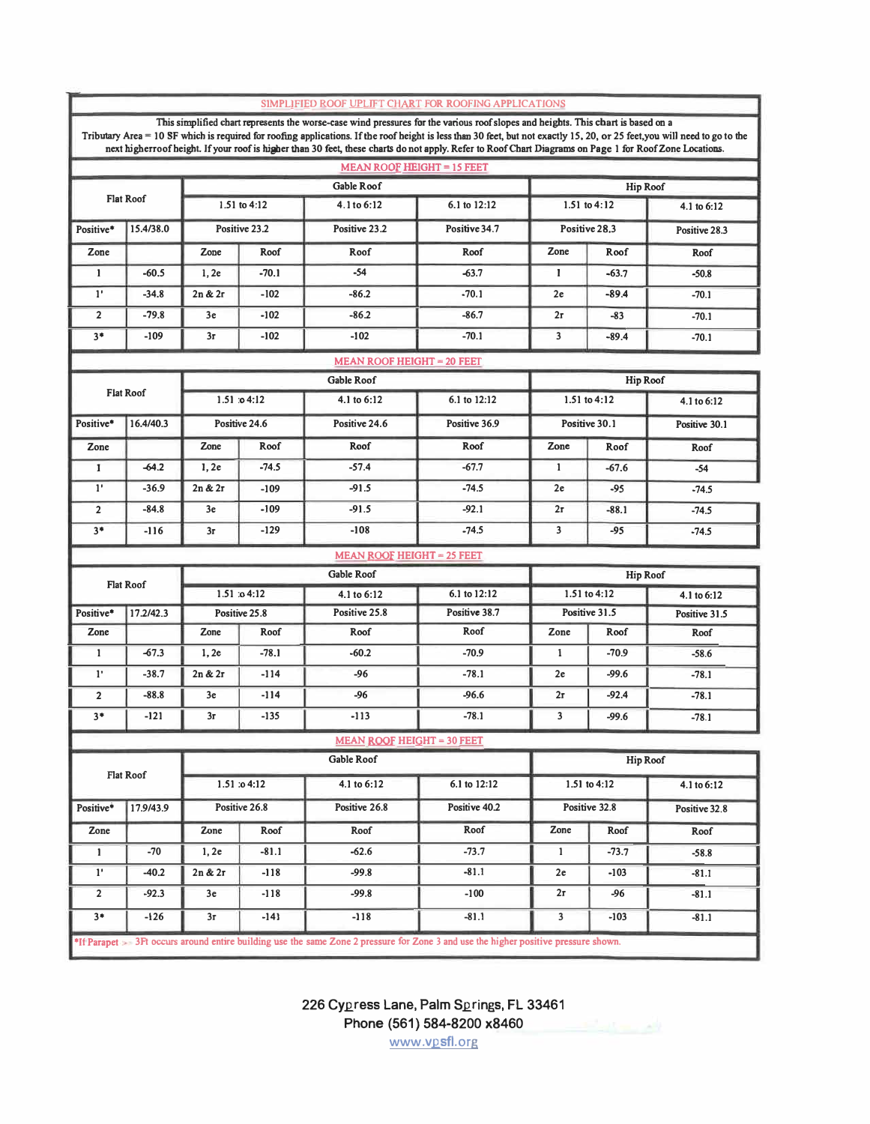| SIMPLIFIED ROOF UPLIFT CHART FOR ROOFING APPLICATIONS                                                                                                                                                                                                                                                                                                                                                                                                                     |                  |                |               |                                   |               |                 |                 |               |  |
|---------------------------------------------------------------------------------------------------------------------------------------------------------------------------------------------------------------------------------------------------------------------------------------------------------------------------------------------------------------------------------------------------------------------------------------------------------------------------|------------------|----------------|---------------|-----------------------------------|---------------|-----------------|-----------------|---------------|--|
|                                                                                                                                                                                                                                                                                                                                                                                                                                                                           |                  |                |               |                                   |               |                 |                 |               |  |
| This simplified chart represents the worse-case wind pressures for the various roof slopes and heights. This chart is based on a<br>Tributary Area = 10 SF which is required for roofing applications. If the roof height is less than 30 feet, but not exactly 15, 20, or 25 feet, you will need to go to the<br>next higherroof height. If your roof is higher than 30 feet, these charts do not apply. Refer to Roof Chart Diagrams on Page 1 for Roof Zone Locations. |                  |                |               |                                   |               |                 |                 |               |  |
| <b>MEAN ROOF HEIGHT = 15 FEET</b>                                                                                                                                                                                                                                                                                                                                                                                                                                         |                  |                |               |                                   |               |                 |                 |               |  |
|                                                                                                                                                                                                                                                                                                                                                                                                                                                                           |                  |                |               | Gable Roof                        |               |                 | <b>Hip Roof</b> |               |  |
|                                                                                                                                                                                                                                                                                                                                                                                                                                                                           | <b>Flat Roof</b> | 1.51 to 4:12   |               | 6.1 to 12:12<br>4.1 to 6:12       |               | 1.51 to 4:12    |                 | 4.1 to 6:12   |  |
| Positive*                                                                                                                                                                                                                                                                                                                                                                                                                                                                 | 15.4/38.0        |                | Positive 23.2 | Positive 23.2                     | Positive 34.7 |                 | Positive 28,3   | Positive 28.3 |  |
| Zone                                                                                                                                                                                                                                                                                                                                                                                                                                                                      |                  | Zone           | Roof          | Roof                              | Roof          | Zone            | Roof            | Roof          |  |
| 1                                                                                                                                                                                                                                                                                                                                                                                                                                                                         | $-60.5$          | 1, 2e          | $-70.1$       | $-54$                             | $-63.7$       | 1               | $-63.7$         | $-50.8$       |  |
| $1^{\circ}$                                                                                                                                                                                                                                                                                                                                                                                                                                                               | $-34.8$          | 2n & 2r        | $-102$        | $-86.2$                           | $-70.1$       | 2e              | $-89.4$         | $-70.1$       |  |
| $\overline{2}$                                                                                                                                                                                                                                                                                                                                                                                                                                                            | $-79.8$          | 3e             | $-102$        | $-86.2$                           | $-86.7$       | 2г              | $-83$           | $-70.1$       |  |
| $3*$                                                                                                                                                                                                                                                                                                                                                                                                                                                                      | $-109$           | 3г             | $-102$        | $-102$                            | -70.1         | 3               | $-89.4$         | $-70.1$       |  |
|                                                                                                                                                                                                                                                                                                                                                                                                                                                                           |                  |                |               | <b>MEAN ROOF HEIGHT = 20 FEET</b> |               |                 |                 |               |  |
|                                                                                                                                                                                                                                                                                                                                                                                                                                                                           |                  |                |               | Gable Roof                        |               |                 | <b>Hip Roof</b> |               |  |
| <b>Flat Roof</b>                                                                                                                                                                                                                                                                                                                                                                                                                                                          |                  |                | 1.51 : 0.4:12 | 4.1 to 6:12                       | 6.1 to 12:12  |                 | 1.51 to 4:12    | 4.1 to 6:12   |  |
| Positive*                                                                                                                                                                                                                                                                                                                                                                                                                                                                 | 16.4/40.3        |                | Positive 24.6 | Positive 24.6                     | Positive 36.9 |                 | Positive 30.1   | Positive 30.1 |  |
| Zone                                                                                                                                                                                                                                                                                                                                                                                                                                                                      |                  | Zone           | Roof          | Roof                              | Roof          | Zone            | Roof            | Roof          |  |
| 1                                                                                                                                                                                                                                                                                                                                                                                                                                                                         | $-64.2$          | 1, 2e          | $-74.5$       | $-57.4$                           | $-67.7$       | $\mathbf{1}$    | $-67.6$         | $-54$         |  |
| $1^{\prime}$                                                                                                                                                                                                                                                                                                                                                                                                                                                              | $-36.9$          | 2n & 2r        | $-109$        | $-91.5$                           | $-74.5$       | 2e              | -95             | $-74.5$       |  |
| $\overline{2}$                                                                                                                                                                                                                                                                                                                                                                                                                                                            | $-84.8$          | 3e             | $-109$        | $-91.5$                           | $-92.1$       | 2r              | -88.1           | $-74.5$       |  |
| $3*$                                                                                                                                                                                                                                                                                                                                                                                                                                                                      | $-116$           | 3r             | $-129$        | $-108$                            | $-74.5$       | 3               | $-95$           | $-74.5$       |  |
|                                                                                                                                                                                                                                                                                                                                                                                                                                                                           |                  |                |               | <b>MEAN ROOF HEIGHT = 25 FEET</b> |               |                 |                 |               |  |
|                                                                                                                                                                                                                                                                                                                                                                                                                                                                           |                  |                | Gable Roof    |                                   |               | <b>Hip Roof</b> |                 |               |  |
|                                                                                                                                                                                                                                                                                                                                                                                                                                                                           | <b>Flat Roof</b> |                | 1.51 : 04:12  | 4.1 to 6:12                       | 6.1 to 12:12  |                 | 1.51 to 4:12    | 4.1 to 6:12   |  |
| Positive*                                                                                                                                                                                                                                                                                                                                                                                                                                                                 | 17.2/42.3        | Positive 25.8  |               | Positive 25.8                     | Positive 38.7 |                 | Positive 31.5   | Positive 31.5 |  |
| Zone                                                                                                                                                                                                                                                                                                                                                                                                                                                                      |                  | Zone           | Roof          | Roof                              | Roof          | Zone            | Roof            | Roof          |  |
| 1                                                                                                                                                                                                                                                                                                                                                                                                                                                                         | $-67.3$          | 1, 2e          | $-78.1$       | $-60.2$                           | $-70.9$       | 1               | $-70.9$         | $-58.6$       |  |
| $1^{\circ}$                                                                                                                                                                                                                                                                                                                                                                                                                                                               | $-38.7$          | 2n & 2r        | $-114$        | $-96$                             | $-78.1$       | 2e              | $-99.6$         | $-78.1$       |  |
| $\overline{2}$                                                                                                                                                                                                                                                                                                                                                                                                                                                            | $-88.8$          | 3 <sub>e</sub> | $-114$        | -96                               | $-96.6$       | 2r              | $-92.4$         | $-78.1$       |  |
| $3*$                                                                                                                                                                                                                                                                                                                                                                                                                                                                      | -121             | 3г             | $-135$        | $-113$                            | $-78.1$       | 3               | $-99.6$         | $-78.1$       |  |
|                                                                                                                                                                                                                                                                                                                                                                                                                                                                           |                  |                |               | <b>MEAN ROOF HEIGHT = 30 FEET</b> |               |                 |                 |               |  |
|                                                                                                                                                                                                                                                                                                                                                                                                                                                                           |                  |                |               | Gable Roof                        |               | <b>Hip Roof</b> |                 |               |  |
|                                                                                                                                                                                                                                                                                                                                                                                                                                                                           | Flat Roof        | 1.51:04:12     |               | 6.1 to 12:12<br>4.1 to 6:12       |               | 1.51 to 4:12    |                 | 4.1 to 6:12   |  |
| Positive*                                                                                                                                                                                                                                                                                                                                                                                                                                                                 | 17.9/43.9        |                | Positive 26.8 | Positive 26.8                     | Positive 40.2 |                 | Positive 32.8   | Positive 32,8 |  |
| Zone                                                                                                                                                                                                                                                                                                                                                                                                                                                                      |                  | Zone           | Roof          | Roof                              | Roof          | Zone            | Roof            | Roof          |  |
| $\mathbf{1}$                                                                                                                                                                                                                                                                                                                                                                                                                                                              | -70              | 1, 2e          | $-81.1$       | $-62.6$                           | $-73.7$       | $\mathbf{1}$    | $-73.7$         | $-58.8$       |  |
| $1^{\circ}$                                                                                                                                                                                                                                                                                                                                                                                                                                                               | $-40.2$          | 2n & 2r        | $-118$        | $-99.8$                           | $-81.1$       | 2e              | $-103$          | $-81.1$       |  |
| $\overline{2}$                                                                                                                                                                                                                                                                                                                                                                                                                                                            | $-92.3$          | 3e             | $-118$        | $-99.8$                           | $-100$        | 2г              | -96             | $-81.1$       |  |
| $3*$                                                                                                                                                                                                                                                                                                                                                                                                                                                                      | -126             | 3r             | $-141$        | $-118$                            | -81.1         | $\mathbf{3}$    | -103            | $-81.1$       |  |
| *If Parapet > 3Ft occurs around entire building use the same Zone 2 pressure for Zone 3 and use the higher positive pressure shown.                                                                                                                                                                                                                                                                                                                                       |                  |                |               |                                   |               |                 |                 |               |  |

**226 Cypress Lane, Palm Springs, FL 33461 Phone (561} 584-8200 x8460 www.vpsfl.org**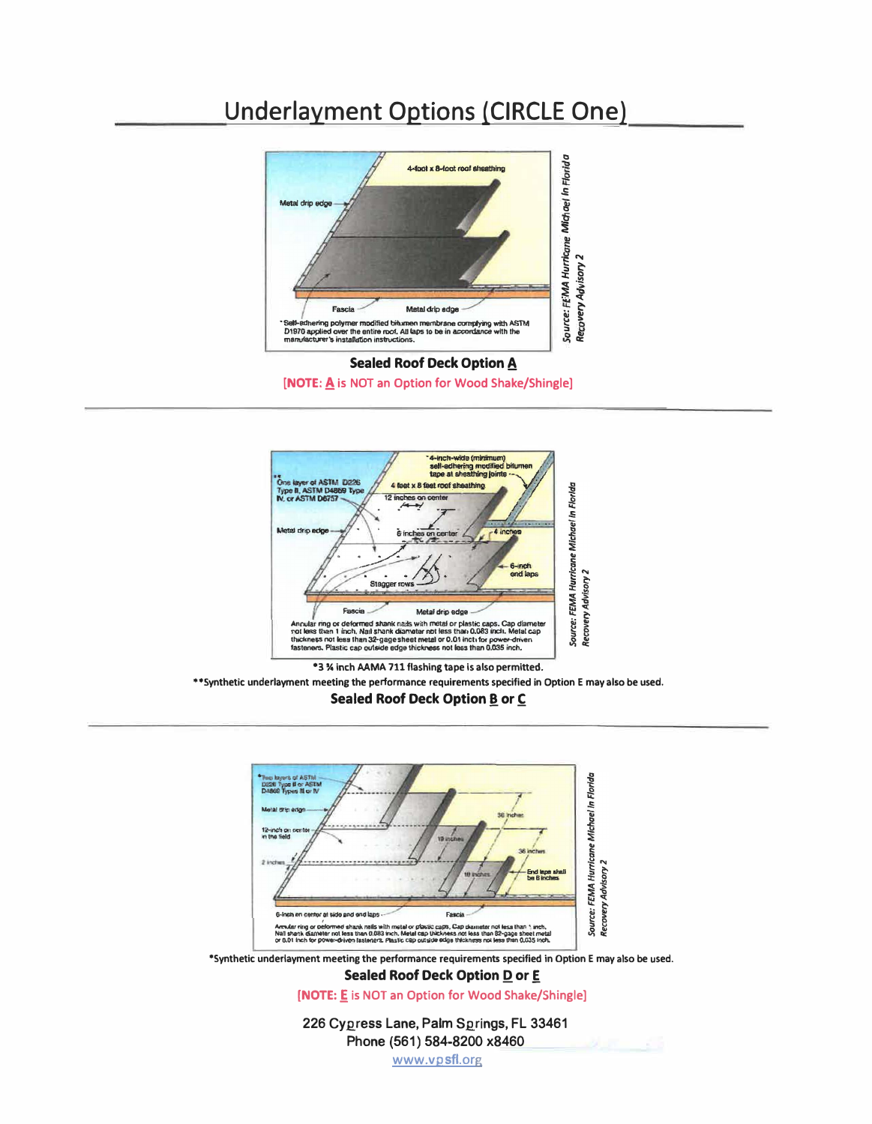# **Underlayment Options (CIRCLE One)**



[NOTE: A is NOT an Option for Wood Shake/Shingle]



\*\* Synthetic underlayment meeting the performance requirements specified in Option E may also be used.

#### Sealed Roof Deck Option B or C



Phone (561) 584-8200 x8460

www.vpsfl.org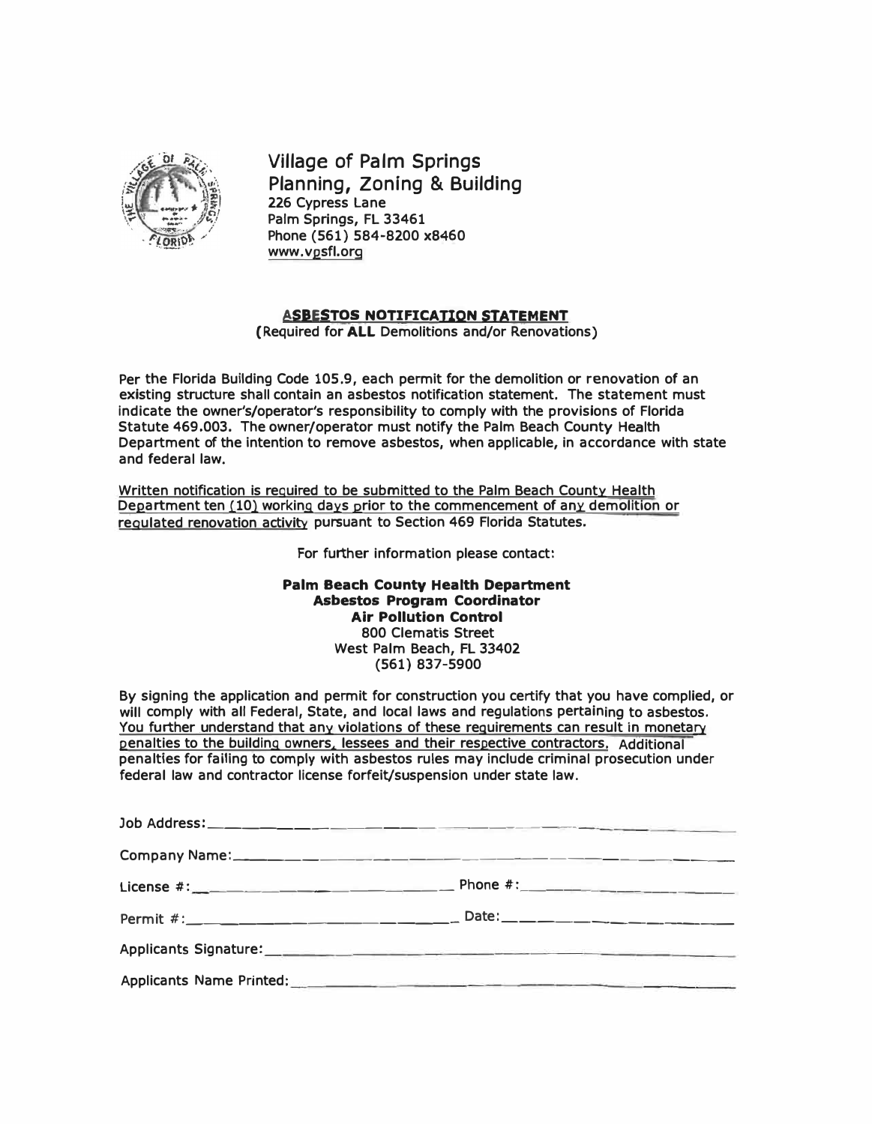

**Village of Palm Springs Planning, Zoning & Building 226 Cypress Lane Palm Springs, FL 33461 Phone (561) 584-8200 x8460 www.vpsfl.org** 

#### **ASBESTOS. NOTIFICATION STATEMENT**

**(Required for ALL Demolitions and/or Renovations)** 

**Per the Florida Building Code 105.9, each permit for the demolition or renovation of an existing structure shall contain an asbestos notification statement. The statement must indicate the owner's/operator's responsibility to comply with the provisions of Florida Statute 469,003. The owner/operator must notify the Palm Beach County Health Department of the intention to remove asbestos, when applicable, in accordance with state and federal law.** 

**Written notification is required to be submitted to the Palm Beach County Health Department ten {10) working days prior to the commencement of any demolition or regulated renovation activity pursuant to Section 469 Florida Statutes.** 

**For further information please contact:** 

**Palm Beach County Health Department Asbestos Program Coordinator Air Pollution Control 800 Clematis Street West Palm Beach, FL 33402 (561) 837-5900**

**By signing the application and permit for construction you certify that you have complied, or will comply with all Federal, State, and local laws and regulations pertaining to asbestos.**  You further understand that any violations of these requirements can result in monetary **penalties to the building owners, lessees and their respective contractors. Additional penalties for failing to comply with asbestos rules may include criminal prosecution under federal law and contractor license forfeit/suspension under state law.** 

| Applicants Name Printed: 2008 and 2008 and 2008 and 2008 and 2008 and 2008 and 2008 and 2008 and 2008 and 2008 |  |
|----------------------------------------------------------------------------------------------------------------|--|